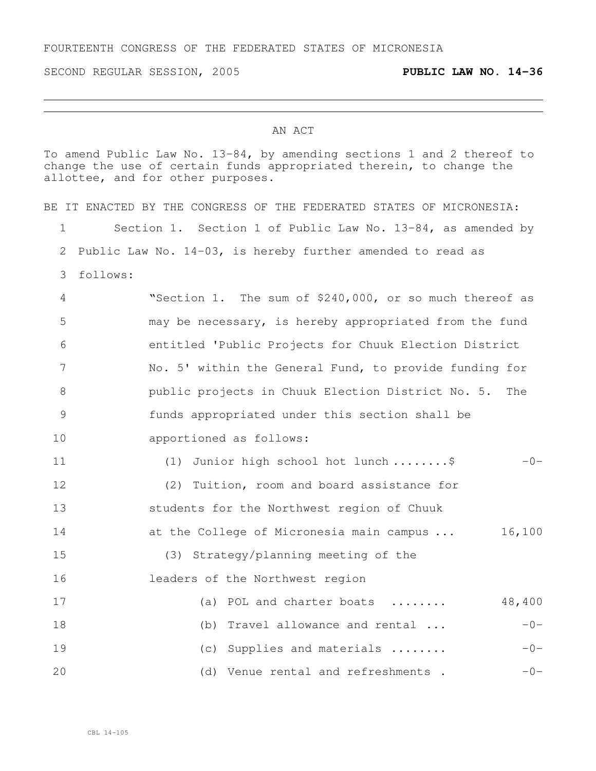SECOND REGULAR SESSION, 2005 **PUBLIC LAW NO. 14-36**

## AN ACT

To amend Public Law No. 13-84, by amending sections 1 and 2 thereof to change the use of certain funds appropriated therein, to change the allottee, and for other purposes.

|                 | BE IT ENACTED BY THE CONGRESS OF THE FEDERATED STATES OF MICRONESIA: |
|-----------------|----------------------------------------------------------------------|
| 1               | Section 1. Section 1 of Public Law No. 13-84, as amended by          |
| 2               | Public Law No. 14-03, is hereby further amended to read as           |
| 3               | follows:                                                             |
| 4               | "Section 1. The sum of \$240,000, or so much thereof as              |
| 5               | may be necessary, is hereby appropriated from the fund               |
| 6               | entitled 'Public Projects for Chuuk Election District                |
| $7\phantom{.0}$ | No. 5' within the General Fund, to provide funding for               |
| 8               | public projects in Chuuk Election District No. 5.<br>The             |
| 9               | funds appropriated under this section shall be                       |
| 10              | apportioned as follows:                                              |
| 11              | (1) Junior high school hot lunch \$<br>$-0-$                         |
| 12              | (2) Tuition, room and board assistance for                           |
| 13              | students for the Northwest region of Chuuk                           |
| 14              | at the College of Micronesia main campus<br>16,100                   |
| 15              | (3) Strategy/planning meeting of the                                 |
| 16              | leaders of the Northwest region                                      |
| 17              | 48,400<br>(a) POL and charter boats                                  |
| 18              | (b) Travel allowance and rental<br>$-0-$                             |
| 19              | Supplies and materials<br>$-0-$<br>(C)                               |
| 20              | (d) Venue rental and refreshments.<br>$-0-$                          |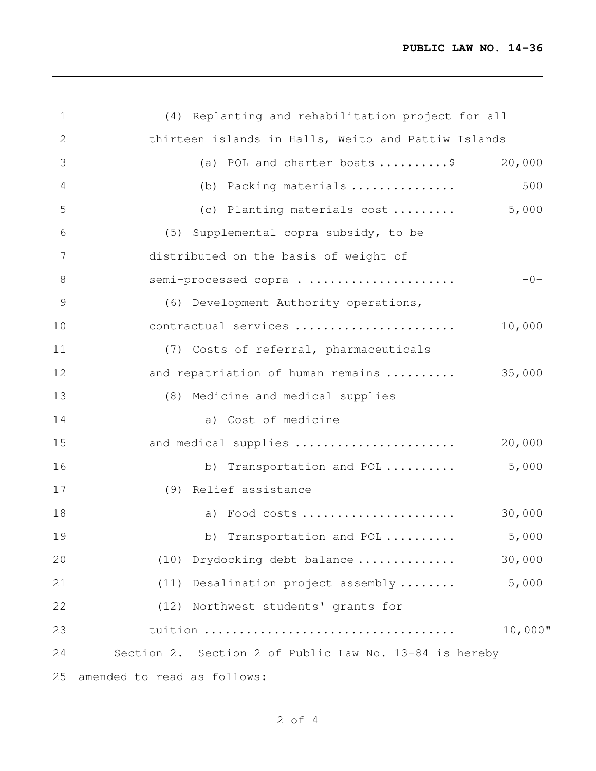<u> 1989 - Johann Stoff, amerikansk politiker (d. 1989)</u>

| 1             | (4) Replanting and rehabilitation project for all          |
|---------------|------------------------------------------------------------|
| 2             | thirteen islands in Halls, Weito and Pattiw Islands        |
| 3             | (a) POL and charter boats $\dots\dots\dots\dots$<br>20,000 |
| 4             | 500<br>(b) Packing materials                               |
| 5             | 5,000<br>(c) Planting materials cost                       |
| 6             | (5) Supplemental copra subsidy, to be                      |
| 7             | distributed on the basis of weight of                      |
| 8             | semi-processed copra<br>$-0-$                              |
| $\mathcal{G}$ | (6) Development Authority operations,                      |
| 10            | contractual services<br>10,000                             |
| 11            | (7) Costs of referral, pharmaceuticals                     |
| 12            | 35,000<br>and repatriation of human remains                |
| 13            | (8) Medicine and medical supplies                          |
| 14            | a) Cost of medicine                                        |
| 15            | and medical supplies<br>20,000                             |
| 16            | 5,000<br>b) Transportation and POL                         |
| 17            | (9) Relief assistance                                      |
| 18            | 30,000<br>a) Food costs                                    |
| 19            | 5,000<br>b) Transportation and POL                         |
| 20            | 30,000<br>(10) Drydocking debt balance                     |
| 21            | 5,000<br>Desalination project assembly<br>(11)             |
| 22            | Northwest students' grants for<br>(12)                     |
| 23            | 10,000"                                                    |
| 24            | Section 2. Section 2 of Public Law No. 13-84 is hereby     |
| 25            | amended to read as follows:                                |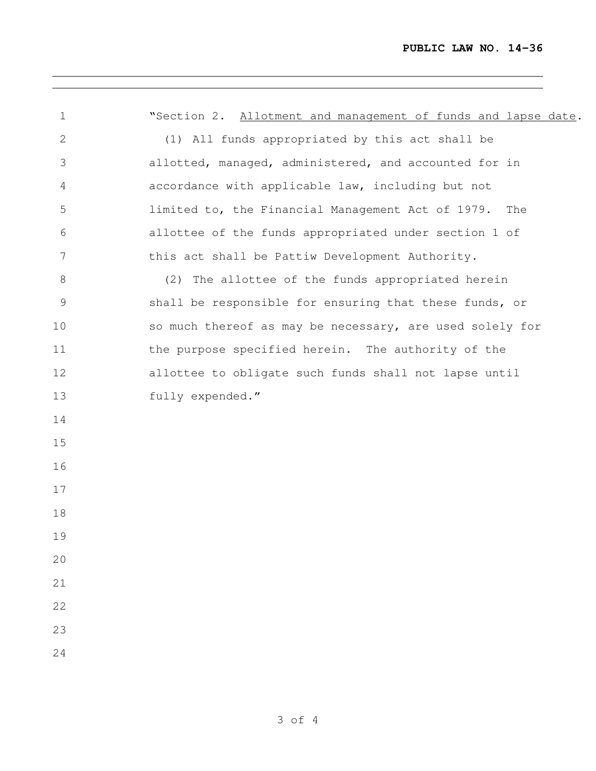<u> 1989 - Johann Stein, marwolaethau a bhann an t-Amhair an t-Amhair an t-Amhair an t-Amhair an t-Amhair an t-A</u>

| $\mathbf 1$    | "Section 2. Allotment and management of funds and lapse date. |
|----------------|---------------------------------------------------------------|
| $\mathbf{2}$   | (1) All funds appropriated by this act shall be               |
| 3              | allotted, managed, administered, and accounted for in         |
| 4              | accordance with applicable law, including but not             |
| 5              | limited to, the Financial Management Act of 1979.<br>The      |
| 6              | allottee of the funds appropriated under section 1 of         |
| $\overline{7}$ | this act shall be Pattiw Development Authority.               |
| $8\,$          | (2) The allottee of the funds appropriated herein             |
| 9              | shall be responsible for ensuring that these funds, or        |
| 10             | so much thereof as may be necessary, are used solely for      |
| 11             | the purpose specified herein. The authority of the            |
| 12             | allottee to obligate such funds shall not lapse until         |
| 13             | fully expended."                                              |
| 14             |                                                               |
| 15             |                                                               |
| 16             |                                                               |
| 17             |                                                               |
| 18             |                                                               |
| 19             |                                                               |
| 20             |                                                               |
| 21             |                                                               |
| 22             |                                                               |
| 23             |                                                               |
| 24             |                                                               |
|                |                                                               |